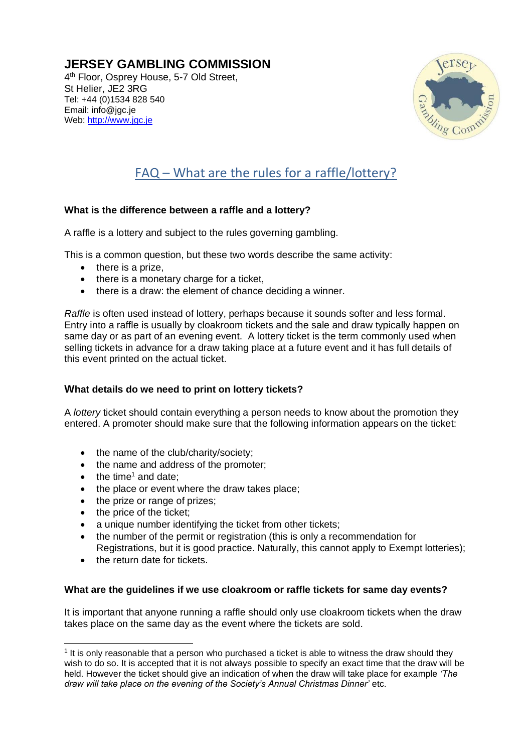# **JERSEY GAMBLING COMMISSION**

4<sup>th</sup> Floor, Osprey House, 5-7 Old Street, St Helier, JE2 3RG Tel: +44 (0)1534 828 540 Email: info@jgc.je Web: [http://www.jgc.je](http://www.jgc.je/)



# FAQ – What are the rules for a raffle/lottery?

# **What is the difference between a raffle and a lottery?**

A raffle is a lottery and subject to the rules governing gambling.

This is a common question, but these two words describe the same activity:

- there is a prize,
- there is a monetary charge for a ticket.
- there is a draw: the element of chance deciding a winner.

*Raffle* is often used instead of lottery, perhaps because it sounds softer and less formal. Entry into a raffle is usually by cloakroom tickets and the sale and draw typically happen on same day or as part of an evening event. A lottery ticket is the term commonly used when selling tickets in advance for a draw taking place at a future event and it has full details of this event printed on the actual ticket.

# **What details do we need to print on lottery tickets?**

A *lottery* ticket should contain everything a person needs to know about the promotion they entered. A promoter should make sure that the following information appears on the ticket:

- the name of the club/charity/society;
- the name and address of the promoter;
- the time<sup>1</sup> and date:
- the place or event where the draw takes place;
- the prize or range of prizes;
- the price of the ticket:
- a unique number identifying the ticket from other tickets;
- the number of the permit or registration (this is only a recommendation for Registrations, but it is good practice. Naturally, this cannot apply to Exempt lotteries);
- the return date for tickets.

# **What are the guidelines if we use cloakroom or raffle tickets for same day events?**

It is important that anyone running a raffle should only use cloakroom tickets when the draw takes place on the same day as the event where the tickets are sold.

 $<sup>1</sup>$  It is only reasonable that a person who purchased a ticket is able to witness the draw should they</sup> wish to do so. It is accepted that it is not always possible to specify an exact time that the draw will be held. However the ticket should give an indication of when the draw will take place for example *'The draw will take place on the evening of the Society's Annual Christmas Dinner'* etc.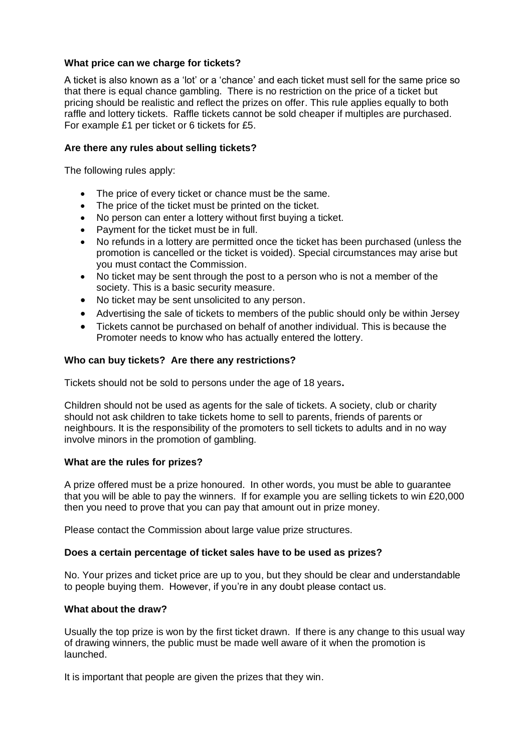# **What price can we charge for tickets?**

A ticket is also known as a 'lot' or a 'chance' and each ticket must sell for the same price so that there is equal chance gambling. There is no restriction on the price of a ticket but pricing should be realistic and reflect the prizes on offer. This rule applies equally to both raffle and lottery tickets. Raffle tickets cannot be sold cheaper if multiples are purchased. For example £1 per ticket or 6 tickets for £5.

# **Are there any rules about selling tickets?**

The following rules apply:

- The price of every ticket or chance must be the same.
- The price of the ticket must be printed on the ticket.
- No person can enter a lottery without first buying a ticket.
- Payment for the ticket must be in full.
- No refunds in a lottery are permitted once the ticket has been purchased (unless the promotion is cancelled or the ticket is voided). Special circumstances may arise but you must contact the Commission.
- No ticket may be sent through the post to a person who is not a member of the society. This is a basic security measure.
- No ticket may be sent unsolicited to any person.
- Advertising the sale of tickets to members of the public should only be within Jersey
- Tickets cannot be purchased on behalf of another individual. This is because the Promoter needs to know who has actually entered the lottery.

# **Who can buy tickets? Are there any restrictions?**

Tickets should not be sold to persons under the age of 18 years**.**

Children should not be used as agents for the sale of tickets. A society, club or charity should not ask children to take tickets home to sell to parents, friends of parents or neighbours. It is the responsibility of the promoters to sell tickets to adults and in no way involve minors in the promotion of gambling.

# **What are the rules for prizes?**

A prize offered must be a prize honoured. In other words, you must be able to guarantee that you will be able to pay the winners. If for example you are selling tickets to win £20,000 then you need to prove that you can pay that amount out in prize money.

Please contact the Commission about large value prize structures.

# **Does a certain percentage of ticket sales have to be used as prizes?**

No. Your prizes and ticket price are up to you, but they should be clear and understandable to people buying them. However, if you're in any doubt please contact us.

# **What about the draw?**

Usually the top prize is won by the first ticket drawn. If there is any change to this usual way of drawing winners, the public must be made well aware of it when the promotion is launched.

It is important that people are given the prizes that they win.